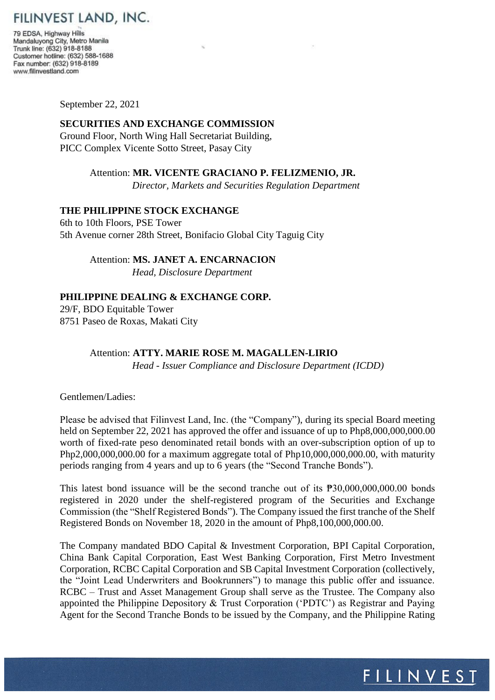

79 EDSA, Highway Hills Mandaluyong City, Metro Manila Trunk line: (632) 918-8188 Customer hotline: (632) 588-1688 Fax number: (632) 918-8189 www.filinvestland.com

September 22, 2021

## **SECURITIES AND EXCHANGE COMMISSION**  Ground Floor, North Wing Hall Secretariat Building, PICC Complex Vicente Sotto Street, Pasay City

# Attention: **MR. VICENTE GRACIANO P. FELIZMENIO, JR.**

 *Director, Markets and Securities Regulation Department* 

## **THE PHILIPPINE STOCK EXCHANGE**

6th to 10th Floors, PSE Tower 5th Avenue corner 28th Street, Bonifacio Global City Taguig City

## Attention: **MS. JANET A. ENCARNACION**

*Head, Disclosure Department* 

## **PHILIPPINE DEALING & EXCHANGE CORP.**

29/F, BDO Equitable Tower 8751 Paseo de Roxas, Makati City

#### Attention: **ATTY. MARIE ROSE M. MAGALLEN-LIRIO**

*Head - Issuer Compliance and Disclosure Department (ICDD)* 

Gentlemen/Ladies:

Please be advised that Filinvest Land, Inc. (the "Company"), during its special Board meeting held on September 22, 2021 has approved the offer and issuance of up to Php8,000,000,000.00 worth of fixed-rate peso denominated retail bonds with an over-subscription option of up to Php2,000,000,000.00 for a maximum aggregate total of Php10,000,000,000,000, with maturity periods ranging from 4 years and up to 6 years (the "Second Tranche Bonds").

This latest bond issuance will be the second tranche out of its ₱30,000,000,000.00 bonds registered in 2020 under the shelf-registered program of the Securities and Exchange Commission (the "Shelf Registered Bonds"). The Company issued the first tranche of the Shelf Registered Bonds on November 18, 2020 in the amount of Php8,100,000,000.00.

The Company mandated BDO Capital & Investment Corporation, BPI Capital Corporation, China Bank Capital Corporation, East West Banking Corporation, First Metro Investment Corporation, RCBC Capital Corporation and SB Capital Investment Corporation (collectively, the "Joint Lead Underwriters and Bookrunners") to manage this public offer and issuance. RCBC – Trust and Asset Management Group shall serve as the Trustee. The Company also appointed the Philippine Depository & Trust Corporation ('PDTC') as Registrar and Paying Agent for the Second Tranche Bonds to be issued by the Company, and the Philippine Rating